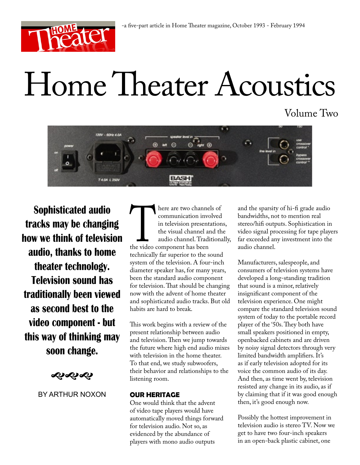

# Home Theater Acoustics

Volume Two



**Sophisticated audio tracks may be changing how we think of television audio, thanks to home theater technology. Television sound has traditionally been viewed as second best to the video component - but this way of thinking may soon change.**

≮ણ્રસ્થ

BY ARTHUR NOXON

There are two channels of<br>
tommunication involved<br>
in television presentations<br>
the visual channel and the<br>
audio channel. Traditional<br>
the video component has been<br>
technically far superior to the sound communication involved in television presentations, the visual channel and the audio channel. Traditionally, the video component has been system of the television. A four-inch diameter speaker has, for many years, been the standard audio component for television. That should be changing now with the advent of home theater and sophisticated audio tracks. But old habits are hard to break.

This work begins with a review of the present relationship between audio and television. Then we jump towards the future where high end audio mixes with television in the home theater. To that end, we study subwoofers, their behavior and relationships to the listening room.

## **OUR HERITAGE**

One would think that the advent of video tape players would have automatically moved things forward for television audio. Not so, as evidenced by the abundance of players with mono audio outputs

and the sparsity of hi-fi grade audio bandwidths, not to mention real stereo/hifi outputs. Sophistication in video signal processing for tape players far exceeded any investment into the audio channel.

Manufacturers, salespeople, and consumers of television systems have developed a long-standing tradition that sound is a minor, relatively insignificant component of the television experience. One might compare the standard television sound system of today to the portable record player of the '50s. They both have small speakers positioned in empty, openbacked cabinets and are driven by noisy signal detectors through very limited bandwidth amplifiers. It's as if early television adopted for its voice the common audio of its day. And then, as time went by, television resisted any change in its audio, as if by claiming that if it was good enough then, it's good enough now.

Possibly the hottest improvement in television audio is stereo TV. Now we get to have two four-inch speakers in an open-back plastic cabinet, one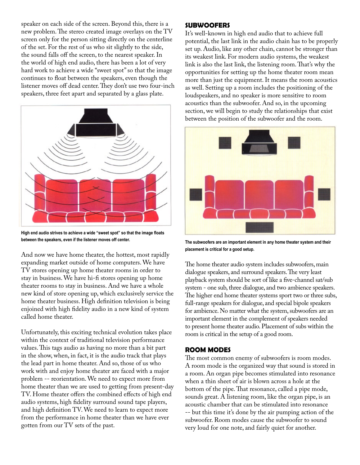speaker on each side of the screen. Beyond this, there is a new problem. The stereo created image overlays on the TV screen only for the person sitting directly on the centerline of the set. For the rest of us who sit slightly to the side, the sound falls off the screen, to the nearest speaker. In the world of high end audio, there has been a lot of very hard work to achieve a wide "sweet spot" so that the image continues to float between the speakers, even though the listener moves off dead center. They don't use two four-inch speakers, three feet apart and separated by a glass plate.



**High end audio strives to achieve a wide "sweet spot" so that the image floats between the speakers, even if the listener moves off center.**

And now we have home theater, the hottest, most rapidly expanding market outside of home computers. We have TV stores opening up home theater rooms in order to stay in business. We have hi-fi stores opening up home theater rooms to stay in business. And we have a whole new kind of store opening up, which exclusively service the home theater business. High definition television is being enjoined with high fidelity audio in a new kind of system called home theater.

Unfortunately, this exciting technical evolution takes place within the context of traditional television performance values. This tags audio as having no more than a bit part in the show, when, in fact, it is the audio track that plays the lead part in home theater. And so, those of us who work with and enjoy home theater are faced with a major problem -- reorientation. We need to expect more from home theater than we are used to getting from present-day TV. Home theater offers the combined effects of high end audio systems, high fidelity surround sound tape players, and high definition TV. We need to learn to expect more from the performance in home theater than we have ever gotten from our TV sets of the past.

#### **SUBWOOFERS**

It's well-known in high end audio that to achieve full potential, the last link in the audio chain has to be properly set up. Audio, like any other chain, cannot be stronger than its weakest link. For modern audio systems, the weakest link is also the last link, the listening room. That's why the opportunities for setting up the home theater room mean more than just the equipment. It means the room acoustics as well. Setting up a room includes the positioning of the loudspeakers, and no speaker is more sensitive to room acoustics than the subwoofer. And so, in the upcoming section, we will begin to study the relationships that exist between the position of the subwoofer and the room.



**The subwoofers are an important element in any home theater system and their placement is critical for a good setup.**

The home theater audio system includes subwoofers, main dialogue speakers, and surround speakers. The very least playback system should be sort of like a five-channel sat/sub system - one sub, three dialogue, and two ambience speakers. The higher end home theater systems sport two or three subs, full-range speakers for dialogue, and special bipole speakers for ambience. No matter what the system, subwoofers are an important element in the complement of speakers needed to present home theater audio. Placement of subs within the room is critical in the setup of a good room.

## **ROOM MODES**

The most common enemy of subwoofers is room modes. A room mode is the organized way that sound is stored in a room. An organ pipe becomes stimulated into resonance when a thin sheet of air is blown across a hole at the bottom of the pipe. That resonance, called a pipe mode, sounds great. A listening room, like the organ pipe, is an acoustic chamber that can be stimulated into resonance -- but this time it's done by the air pumping action of the subwoofer. Room modes cause the subwoofer to sound very loud for one note, and fairly quiet for another.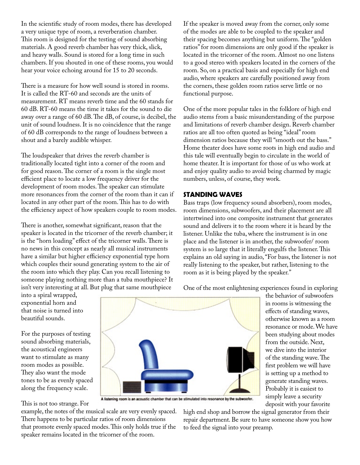In the scientific study of room modes, there has developed a very unique type of room, a reverberation chamber. This room is designed for the testing of sound absorbing materials. A good reverb chamber has very thick, slick, and heavy walls. Sound is stored for a long time in such chambers. If you shouted in one of these rooms, you would hear your voice echoing around for 15 to 20 seconds.

There is a measure for how well sound is stored in rooms. It is called the RT-60 and seconds are the units of measurement. RT means reverb time and the 60 stands for 60 dB. RT-60 means the time it takes for the sound to die away over a range of 60 dB. The dB, of course, is decibel, the unit of sound loudness. It is no coincidence that the range of 60 dB corresponds to the range of loudness between a shout and a barely audible whisper.

The loudspeaker that drives the reverb chamber is traditionally located tight into a corner of the room and for good reason. The corner of a room is the single most efficient place to locate a low frequency driver for the development of room modes. The speaker can stimulate more resonances from the corner of the room than it can if located in any other part of the room. This has to do with the efficiency aspect of how speakers couple to room modes.

There is another, somewhat significant, reason that the speaker is located in the tricorner of the reverb chamber; it is the "horn loading" effect of the tricorner walls. There is no news in this concept as nearly all musical instruments have a similar but higher efficiency exponential type horn which couples their sound generating system to the air of the room into which they play. Can you recall listening to someone playing nothing more than a tuba mouthpiece? It isn't very interesting at all. But plug that same mouthpiece

If the speaker is moved away from the corner, only some of the modes are able to be coupled to the speaker and their spacing becomes anything but uniform. The "golden ratios" for room dimensions are only good if the speaker is located in the tricorner of the room. Almost no one listens to a good stereo with speakers located in the corners of the room. So, on a practical basis and especially for high end audio, where speakers are carefully positioned away from the corners, these golden room ratios serve little or no functional purpose.

One of the more popular tales in the folklore of high end audio stems from a basic misunderstanding of the purpose and limitations of reverb chamber design. Reverb chamber ratios are all too often quoted as being "ideal" room dimension ratios because they will "smooth out the bass." Home theater does have some roots in high end audio and this tale will eventually begin to circulate in the world of home theater. It is important for those of us who work at and enjoy quality audio to avoid being charmed by magic numbers, unless, of course, they work.

# **STANDING WAVES**

Bass traps (low frequency sound absorbers), room modes, room dimensions, subwoofers, and their placement are all intertwined into one composite instrument that generates sound and delivers it to the room where it is heard by the listener. Unlike the tuba, where the instrument is in one place and the listener is in another, the subwoofer/ room system is so large that it literally engulfs the listener. This explains an old saying in audio, "For bass, the listener is not really listening to the speaker, but rather, listening to the room as it is being played by the speaker."

One of the most enlightening experiences found in exploring the behavior of subwoofers

> in rooms is witnessing the effects of standing waves, otherwise known as a room resonance or mode. We have been studying about modes from the outside. Next, we dive into the interior of the standing wave. The first problem we will have is setting up a method to generate standing waves. Probably it is easiest to simply leave a security deposit with your favorite

into a spiral wrapped, exponential horn and that noise is turned into beautiful sounds.

For the purposes of testing sound absorbing materials, the acoustical engineers want to stimulate as many room modes as possible. They also want the mode tones to be as evenly spaced along the frequency scale.

This is not too strange. For



A listening room is an acoustic cha be stimulated into resonance by the subwoofer.

example, the notes of the musical scale are very evenly spaced. There happens to be particular ratios of room dimensions that promote evenly spaced modes. This only holds true if the speaker remains located in the tricorner of the room.

high end shop and borrow the signal generator from their repair department. Be sure to have someone show you how to feed the signal into your preamp.